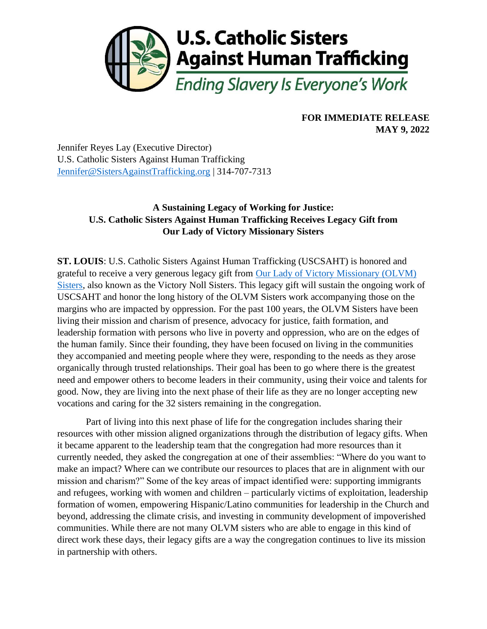

## **FOR IMMEDIATE RELEASE MAY 9, 2022**

Jennifer Reyes Lay (Executive Director) U.S. Catholic Sisters Against Human Trafficking [Jennifer@SistersAgainstTrafficking.org](mailto:Jennifer@SistersAgainstTrafficking.org) | 314-707-7313

## **A Sustaining Legacy of Working for Justice: U.S. Catholic Sisters Against Human Trafficking Receives Legacy Gift from Our Lady of Victory Missionary Sisters**

**ST. LOUIS**: U.S. Catholic Sisters Against Human Trafficking (USCSAHT) is honored and grateful to receive a very generous legacy gift from [Our Lady of Victory Missionary \(OLVM\)](https://www.olvm.org/)  [Sisters,](https://www.olvm.org/) also known as the Victory Noll Sisters. This legacy gift will sustain the ongoing work of USCSAHT and honor the long history of the OLVM Sisters work accompanying those on the margins who are impacted by oppression. For the past 100 years, the OLVM Sisters have been living their mission and charism of presence, advocacy for justice, faith formation, and leadership formation with persons who live in poverty and oppression, who are on the edges of the human family. Since their founding, they have been focused on living in the communities they accompanied and meeting people where they were, responding to the needs as they arose organically through trusted relationships. Their goal has been to go where there is the greatest need and empower others to become leaders in their community, using their voice and talents for good. Now, they are living into the next phase of their life as they are no longer accepting new vocations and caring for the 32 sisters remaining in the congregation.

Part of living into this next phase of life for the congregation includes sharing their resources with other mission aligned organizations through the distribution of legacy gifts. When it became apparent to the leadership team that the congregation had more resources than it currently needed, they asked the congregation at one of their assemblies: "Where do you want to make an impact? Where can we contribute our resources to places that are in alignment with our mission and charism?" Some of the key areas of impact identified were: supporting immigrants and refugees, working with women and children – particularly victims of exploitation, leadership formation of women, empowering Hispanic/Latino communities for leadership in the Church and beyond, addressing the climate crisis, and investing in community development of impoverished communities. While there are not many OLVM sisters who are able to engage in this kind of direct work these days, their legacy gifts are a way the congregation continues to live its mission in partnership with others.